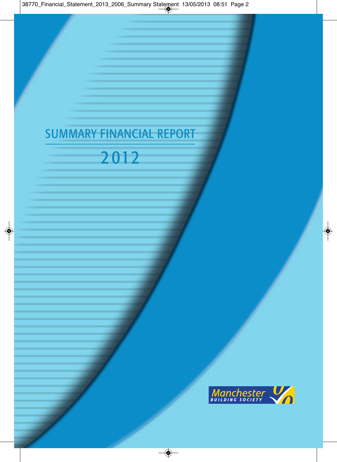# SUMMARY FINANCIAL REPORT

# 2 012

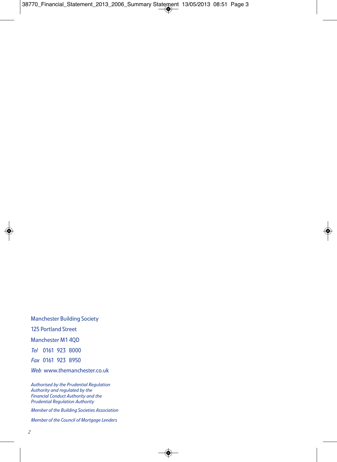Manchester Building Society 125 Portland Street Manchester M1 4QD *Tel* 0161 923 8000 *Fax* 0161 923 8950 *Web* www.themanchester.co.uk

*Authorised by the Prudential Regulation Authority and regulated by the Financial Conduct Authority and the Prudential Regulation Authority*

*Member of the Building Societies Association*

*Member of the Council of Mortgage Lenders*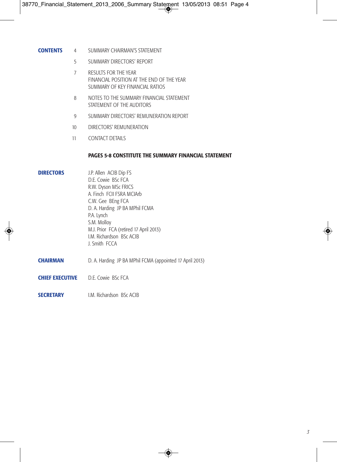- **CONTENTS** 4 SUMMARY CHAIRMAN'S STATEMENT
	- 5 SUMMARY DIRECTORS' REPORT
	- 7 RESULTS FOR THE YEAR FINANCIAL POSITION AT THE END OF THE YEAR SUMMARY OF KEY FINANCIAL RATIOS
	- 8 NOTES TO THE SUMMARY FINANCIAL STATEMENT STATEMENT OF THE AUDITORS
	- 9 SUMMARY DIRECTORS' REMUNERATION REPORT
	- 10 DIRECTORS' REMUNERATION
	- 11 CONTACT DETAILS

# **PAGES 5-8 CONSTITUTE THE SUMMARY FINANCIAL STATEMENT**

# **DIRECTORS** J.P. Allen ACIB Dip FS

D.F. Cowie, BSc FCA R.W. Dyson MSc FRICS A. Finch FCII FSRA MCIArb C.W. Gee BEng FCA D. A. Harding JP BA MPhil FCMA P.A. Lynch S.M. Molloy M.J. Prior FCA (retired 17 April 2013) I.M. Richardson BSc ACIB J. Smith FCCA

- **CHAIRMAN** D. A. Harding JP BA MPhil FCMA (appointed 17 April 2013)
- **CHIFF EXECUTIVE** D.F. Cowie BSc FCA
- **SECRETARY IM. Richardson BSc ACIB**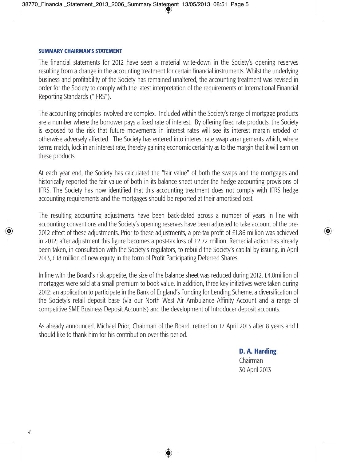# **SUMMARY CHAIRMAN'S STATEMENT**

The financial statements for 2012 have seen a material write-down in the Society's opening reserves resulting from a change in the accounting treatment for certain financial instruments. Whilst the underlying business and profitability of the Society has remained unaltered, the accounting treatment was revised in order for the Society to comply with the latest interpretation of the requirements of International Financial Reporting Standards ("IFRS").

The accounting principles involved are complex. Included within the Society's range of mortgage products are a number where the borrower pays a fixed rate of interest. By offering fixed rate products, the Society is exposed to the risk that future movements in interest rates will see its interest margin eroded or otherwise adversely affected. The Society has entered into interest rate swap arrangements which, where terms match, lock in an interest rate, thereby gaining economic certainty as to the margin that it will earn on these products.

At each year end, the Society has calculated the "fair value" of both the swaps and the mortgages and historically reported the fair value of both in its balance sheet under the hedge accounting provisions of IFRS. The Society has now identified that this accounting treatment does not comply with IFRS hedge accounting requirements and the mortgages should be reported at their amortised cost.

The resulting accounting adjustments have been back-dated across a number of years in line with accounting conventions and the Society's opening reserves have been adjusted to take account of the pre-2012 effect of these adjustments. Prior to these adjustments, a pre-tax profit of £1.86 million was achieved in 2012; after adjustment this figure becomes a post-tax loss of £2.72 million. Remedial action has already been taken, in consultation with the Society's regulators, to rebuild the Society's capital by issuing, in April 2013, £18 million of new equity in the form of Profit Participating Deferred Shares.

In line with the Board's risk appetite, the size of the balance sheet was reduced during 2012. £4.8million of mortgages were sold at a small premium to book value. In addition, three key initiatives were taken during 2012: an application to participate in the Bank of England's Funding for Lending Scheme, a diversification of the Society's retail deposit base (via our North West Air Ambulance Affinity Account and a range of competitive SME Business Deposit Accounts) and the development of Introducer deposit accounts.

As already announced, Michael Prior, Chairman of the Board, retired on 17 April 2013 after 8 years and I should like to thank him for his contribution over this period.

> **D. A. Harding** Chairman 30 April 2013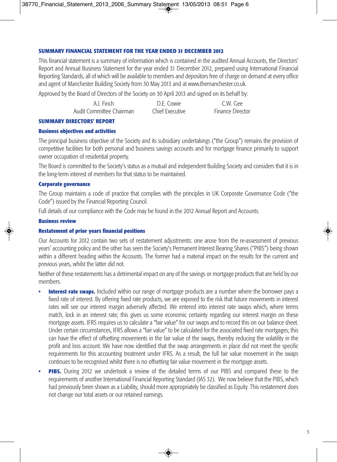# **SUMMARY FINANCIAL STATEMENT FOR THE YEAR ENDED 31 DECEMBER 2012**

This financial statement is a summary of information which is contained in the audited Annual Accounts, the Directors' Report and Annual Business Statement for the year ended 31 December 2012, prepared using International Financial Reporting Standards, all of which will be available to members and depositors free of charge on demand at every office and agent of Manchester Building Society from 30 May 2013 and at www.themanchester.co.uk.

Approved by the Board of Directors of the Society on 30 April 2013 and signed on its behalf by:

| A.J. Finch               | D.E. Cowie      | C.W. Gee     |
|--------------------------|-----------------|--------------|
| Audit Committee Chairman | Chief Executive | Finance Dire |

# Audit Committee Chairman Chief Executive Finance Director

### **SUMMARY DIRECTORS' REPORT**

# **Business objectives and activities**

The principal business objective of the Society and its subsidiary undertakings ("the Group") remains the provision of competitive facilities for both personal and business savings accounts and for mortgage finance primarily to support owner occupation of residential property.

The Board is committed to the Society's status as a mutual and independent Building Society and considers that it is in the long-term interest of members for that status to be maintained.

# **Corporate governance**

The Group maintains a code of practice that complies with the principles in UK Corporate Governance Code ("the Code") issued by the Financial Reporting Council.

Full details of our compliance with the Code may be found in the 2012 Annual Report and Accounts.

# **Business review**

# **Restatement of prior years financial positions**

Our Accounts for 2012 contain two sets of restatement adjustments: one arose from the re-assessment of previous years' accounting policy and the other has seen the Society's Permanent Interest Bearing Shares ("PIBS") being shown within a different heading within the Accounts. The former had a material impact on the results for the current and previous years, whilst the latter did not.

Neither of these restatements has a detrimental impact on any of the savings or mortgage products that are held by our members.

- **Interest rate swaps.** Included within our range of mortgage products are a number where the borrower pays a fixed rate of interest. By offering fixed rate products, we are exposed to the risk that future movements in interest rates will see our interest margin adversely affected. We entered into interest rate swaps which, where terms match, lock in an interest rate; this gives us some economic certainty regarding our interest margin on these mortgage assets. IFRS requires us to calculate a "fair value" for our swaps and to record this on our balance sheet. Under certain circumstances, IFRS allows a "fair value" to be calculated for the associated fixed rate mortgages; this can have the effect of offsetting movements in the fair value of the swaps, thereby reducing the volatility in the profit and loss account. We have now identified that the swap arrangements in place did not meet the specific requirements for this accounting treatment under IFRS. As a result, the full fair value movement in the swaps continues to be recognised whilst there is no offsetting fair value movement in the mortgage assets.
- **PIBS.** During 2012 we undertook a review of the detailed terms of our PIBS and compared these to the requirements of another International Financial Reporting Standard (IAS 32). We now believe that the PIBS, which had previously been shown as a Liability, should more appropriately be classified as Equity. This restatement does not change our total assets or our retained earnings.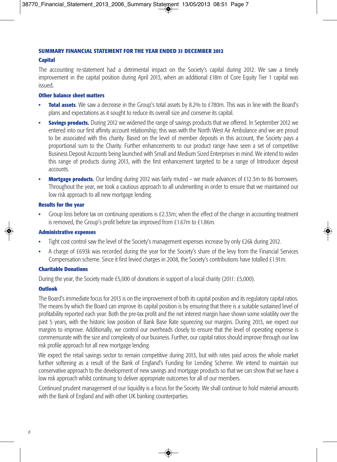# **SUMMARY FINANCIAL STATEMENT FOR THE YEAR ENDED 31 DECEMBER 2012**

#### **Capital**

The accounting re-statement had a detrimental impact on the Society's capital during 2012. We saw a timely improvement in the capital position during April 2013, when an additional £18m of Core Equity Tier 1 capital was issued.

#### **Other balance sheet matters**

- **Total assets**. We saw a decrease in the Group's total assets by 8.2% to £780m. This was in line with the Board's plans and expectations as it sought to reduce its overall size and conserve its capital.
- **Savings products.** During 2012 we widened the range of savings products that we offered. In September 2012 we entered into our first affinity account relationship; this was with the North West Air Ambulance and we are proud to be associated with this charity. Based on the level of member deposits in this account, the Society pays a proportional sum to the Charity. Further enhancements to our product range have seen a set of competitive Business Deposit Accounts being launched with Small and Medium Sized Enterprises in mind. We intend to widen this range of products during 2013, with the first enhancement targeted to be a range of Introducer deposit accounts.
- **Mortgage products**. Our lending during 2012 was fairly muted we made advances of £12.3m to 86 borrowers. Throughout the year, we took a cautious approach to all underwriting in order to ensure that we maintained our low risk approach to all new mortgage lending.

#### **Results for the year**

**•** Group loss before tax on continuing operations is £2.33m; when the effect of the change in accounting treatment is removed, the Group's profit before tax improved from £1.67m to £1.86m.

#### **Administrative expenses**

- **•** Tight cost control saw the level of the Society's management expenses increase by only £26k during 2012.
- **•** A charge of £693k was recorded during the year for the Society's share of the levy from the Financial Services Compensation scheme. Since it first levied charges in 2008, the Society's contributions have totalled £1.91m.

### **Charitable Donations**

During the year, the Society made £5,000 of donations in support of a local charity (2011: £5,000).

### **Outlook**

The Board's immediate focus for 2013 is on the improvement of both its capital position and its regulatory capital ratios. The means by which the Board can improve its capital position is by ensuring that there is a suitable sustained level of profitability reported each year. Both the pre-tax profit and the net interest margin have shown some volatility over the past 5 years, with the historic low position of Bank Base Rate squeezing our margins. During 2013, we expect our margins to improve. Additionally, we control our overheads closely to ensure that the level of operating expense is commensurate with the size and complexity of our business. Further, our capital ratios should improve through our low risk profile approach for all new mortgage lending.

We expect the retail savings sector to remain competitive during 2013, but with rates paid across the whole market further softening as a result of the Bank of England's Funding for Lending Scheme. We intend to maintain our conservative approach to the development of new savings and mortgage products so that we can show that we have a low risk approach whilst continuing to deliver appropriate outcomes for all of our members.

Continued prudent management of our liquidity is a focus for the Society. We shall continue to hold material amounts with the Bank of England and with other UK banking counterparties.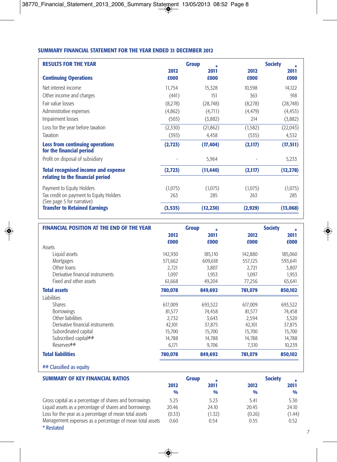# **SUMMARY FINANCIAL STATEMENT FOR THE YEAR ENDED 31 DECEMBER 2012**

| <b>RESULTS FOR THE YEAR</b>                                                    | <b>Group</b> |              |              | <b>Society</b> |  |
|--------------------------------------------------------------------------------|--------------|--------------|--------------|----------------|--|
| <b>Continuing Operations</b>                                                   | 2012<br>£000 | 2011<br>£000 | 2012<br>£000 | 2011<br>£000   |  |
| Net interest income                                                            | 11,754       | 15,328       | 10,598       | 14,122         |  |
| Other income and charges                                                       | (441)        | 151          | 363          | 918            |  |
| Fair value losses                                                              | (8,278)      | (28, 748)    | (8,278)      | (28, 748)      |  |
| Administrative expenses                                                        | (4,862)      | (4,711)      | (4, 479)     | (4, 453)       |  |
| Impairment losses                                                              | (503)        | (3,882)      | 214          | (3,882)        |  |
| Loss for the year before taxation                                              | (2,330)      | (21, 862)    | (1, 582)     | (22, 043)      |  |
| Taxation                                                                       | (393)        | 4,458        | (535)        | 4,532          |  |
| <b>Loss from continuing operations</b><br>for the financial period             | (2,723)      | (17, 404)    | (2,117)      | (17, 511)      |  |
| Profit on disposal of subsidiary                                               |              | 5,964        |              | 5,233          |  |
| <b>Total recognised income and expense</b><br>relating to the financial period | (2,723)      | (11, 440)    | (2,117)      | (12, 278)      |  |
| Payment to Equity Holders                                                      | (1,075)      | (1,075)      | (1,075)      | (1,075)        |  |
| Tax credit on payment to Equity Holders<br>(See page 5 for narrative)          | 263          | 285          | 263          | 285            |  |
| <b>Transfer to Retained Earnings</b>                                           | (3, 535)     | (12, 230)    | (2,929)      | (13,068)       |  |

| <b>FINANCIAL POSITION AT THE END OF THE YEAR</b> | <b>Group</b><br>来 |         | <b>Society</b> |         |
|--------------------------------------------------|-------------------|---------|----------------|---------|
|                                                  | 2012              | 2011    | 2012           | 2011    |
|                                                  | £000              | £000    | £000           | £000    |
| Assets                                           |                   |         |                |         |
| Liquid assets                                    | 142,930           | 185,110 | 142,880        | 185,060 |
| <b>Mortgages</b>                                 | 571,662           | 609,618 | 557,125        | 593,641 |
| Other Joans                                      | 2.721             | 3,807   | 2.721          | 3,807   |
| Derivative financial instruments                 | 1.097             | 1.953   | 1.097          | 1.953   |
| Fixed and other assets                           | 61,668            | 49,204  | 77,256         | 65,641  |
| <b>Total assets</b>                              | 780,078           | 849,692 | 781,079        | 850,102 |
| <b>Liabilities</b>                               |                   |         |                |         |
| <b>Shares</b>                                    | 617,009           | 693,522 | 617,009        | 693,522 |
| <b>Borrowings</b>                                | 81,577            | 74,458  | 81,577         | 74,458  |
| Other liabilities                                | 2.732             | 3,643   | 2,594          | 3,520   |
| Derivative financial instruments                 | 42,101            | 37,875  | 42,101         | 37,875  |
| Subordinated capital                             | 15.700            | 15,700  | 15,700         | 15,700  |
| Subscribed capital##                             | 14,788            | 14,788  | 14,788         | 14,788  |
| Reserves##                                       | 6,171             | 9,706   | 7,310          | 10,239  |
| <b>Total liabilities</b>                         | 780,078           | 849,692 | 781,079        | 850.102 |
|                                                  |                   |         |                |         |

## Classified as equity

| <b>SUMMARY OF KEY FINANCIAL RATIOS</b>                   | <b>Group</b>  |               | <b>Society</b> |               |
|----------------------------------------------------------|---------------|---------------|----------------|---------------|
|                                                          | 2012          | 2011          | 2012           | 2011          |
|                                                          | $\frac{0}{0}$ | $\frac{0}{0}$ | $\frac{0}{0}$  | $\frac{0}{0}$ |
| Gross capital as a percentage of shares and borrowings   | 5.25          | 5.23          | 5.41           | 5.30          |
| Liquid assets as a percentage of shares and borrowings   | 20.46         | 24.10         | 20.45          | 24.10         |
| Loss for the year as a percentage of mean total assets   | (0.33)        | (1.32)        | (0.26)         | (1.44)        |
| Management expenses as a percentage of mean total assets | 0.60          | 0.54          | 0.55           | 0.52          |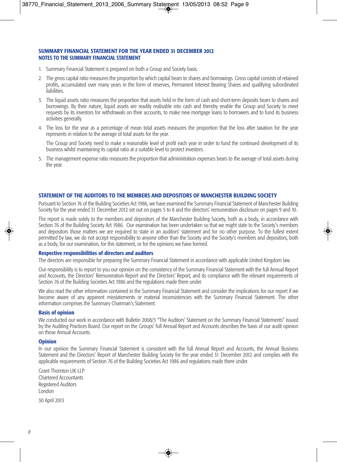#### **SUMMARY FINANCIAL STATEMENT FOR THE YEAR ENDED 31 DECEMBER 2012 NOTES TO THE SUMMARY FINANCIAL STATEMENT**

- 1. Summary Financial Statement is prepared on both a Group and Society basis.
- 2. The gross capital ratio measures the proportion by which capital bears to shares and borrowings. Gross capital consists of retained profits, accumulated over many years in the form of reserves, Permanent Interest Bearing Shares and qualifying subordinated **liabilities**
- 3. The liquid assets ratio measures the proportion that assets held in the form of cash and short-term deposits bears to shares and borrowings. By their nature, liquid assets are readily realisable into cash and thereby enable the Group and Society to meet requests by its investors for withdrawals on their accounts, to make new mortgage loans to borrowers and to fund its business activities generally.
- 4. The loss for the year as a percentage of mean total assets measures the proportion that the loss after taxation for the year represents in relation to the average of total assets for the year.

The Group and Society need to make a reasonable level of profit each year in order to fund the continued development of its business whilst maintaining its capital ratio at a suitable level to protect investors.

5. The management expense ratio measures the proportion that administration expenses bears to the average of total assets during the year.

# **STATEMENT OF THE AUDITORS TO THE MEMBERS AND DEPOSITORS OF MANCHESTER BUILDING SOCIETY**

Pursuant to Section 76 of the Building Societies Act 1986, we have examined the Summary Financial Statement of Manchester Building Society for the year ended 31 December 2012 set out on pages 5 to 8 and the directors' remuneration disclosure on pages 9 and 10.

The report is made solely to the members and depositors of the Manchester Building Society, both as a body, in accordance with Section 76 of the Building Society Act 1986. Our examination has been undertaken so that we might state to the Society's members and depositors those matters we are required to state in an auditors' statement and for no other purpose. To the fullest extent permitted by law, we do not accept responsibility to anyone other than the Society and the Society's members and depositors, both as a body, for our examination, for this statement, or for the opinions we have formed.

#### **Respective responsibilities of directors and auditors**

The directors are responsible for preparing the Summary Financial Statement in accordance with applicable United Kingdom law.

Our responsibility is to report to you our opinion on the consistency of the Summary Financial Statement with the full Annual Report and Accounts, the Directors' Remuneration Report and the Directors' Report, and its compliance with the relevant requirements of Section 76 of the Building Societies Act 1986 and the regulations made there under.

We also read the other information contained in the Summary Financial Statement and consider the implications for our report if we become aware of any apparent misstatements or material inconsistencies with the Summary Financial Statement. The other information comprises the Summary Chairman's Statement.

#### **Basis of opinion**

We conducted our work in accordance with Bulletin 2008/3 "The Auditors' Statement on the Summary Financial Statements" issued by the Auditing Practices Board. Our report on the Groups' full Annual Report and Accounts describes the basis of our audit opinion on those Annual Accounts.

#### **Opinion**

In our opinion the Summary Financial Statement is consistent with the full Annual Report and Accounts, the Annual Business Statement and the Directors' Report of Manchester Building Society for the year ended 31 December 2012 and complies with the applicable requirements of Section 76 of the Building Societies Act 1986 and regulations made there under.

Grant Thornton UK LLP Chartered Accountants Registered Auditors London

30 April 2013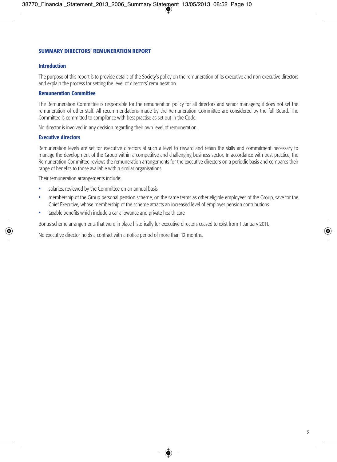# **SUMMARY DIRECTORS' REMUNERATION REPORT**

#### **Introduction**

The purpose of this report is to provide details of the Society's policy on the remuneration of its executive and non-executive directors and explain the process for setting the level of directors' remuneration.

#### **Remuneration Committee**

The Remuneration Committee is responsible for the remuneration policy for all directors and senior managers; it does not set the remuneration of other staff. All recommendations made by the Remuneration Committee are considered by the full Board. The Committee is committed to compliance with best practise as set out in the Code.

No director is involved in any decision regarding their own level of remuneration.

#### **Executive directors**

Remuneration levels are set for executive directors at such a level to reward and retain the skills and commitment necessary to manage the development of the Group within a competitive and challenging business sector. In accordance with best practice, the Remuneration Committee reviews the remuneration arrangements for the executive directors on a periodic basis and compares their range of benefits to those available within similar organisations.

Their remuneration arrangements include:

- salaries, reviewed by the Committee on an annual basis
- membership of the Group personal pension scheme, on the same terms as other eligible employees of the Group, save for the Chief Executive, whose membership of the scheme attracts an increased level of employer pension contributions
- taxable benefits which include a car allowance and private health care

Bonus scheme arrangements that were in place historically for executive directors ceased to exist from 1 January 2011.

No executive director holds a contract with a notice period of more than 12 months.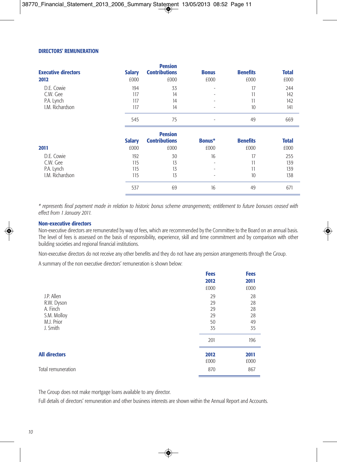### **DIRECTORS' REMUNERATION**

|                            |               | <b>Pension</b>       |                          |                 |              |
|----------------------------|---------------|----------------------|--------------------------|-----------------|--------------|
| <b>Executive directors</b> | <b>Salary</b> | <b>Contributions</b> | <b>Bonus</b>             | <b>Benefits</b> | <b>Total</b> |
| 2012                       | £000          | £000                 | £000                     | £000            | £000         |
| D.E. Cowie                 | 194           | 33                   | $\overline{\phantom{a}}$ | 17              | 244          |
| C.W. Gee                   | 117           | 14                   | $\overline{\phantom{a}}$ | 11              | 142          |
| P.A. Lynch                 | 117           | 14                   | ٠                        | 11              | 142          |
| I.M. Richardson            | 117           | 14                   | ٠                        | 10              | 141          |
|                            | 545           | 75                   | ۰                        | 49              | 669          |
|                            |               | <b>Pension</b>       |                          |                 |              |
|                            | <b>Salary</b> | <b>Contributions</b> | Bonus*                   | <b>Benefits</b> | <b>Total</b> |
| 2011                       | £000          | £000                 | £000                     | £000            | £000         |
| D.E. Cowie                 | 192           | 30                   | 16                       | 17              | 255          |
| C.W. Gee                   | 115           | 13                   | ٠                        | 11              | 139          |
| P.A. Lynch                 | 115           | 13                   | $\overline{\phantom{a}}$ | 11              | 139          |
| I.M. Richardson            | 115           | 13                   | ٠                        | 10              | 138          |
|                            | 537           | 69                   | 16                       | 49              | 671          |

*\* represents final payment made in relation to historic bonus scheme arrangements; entitlement to future bonuses ceased with effect from 1 January 2011.*

#### **Non-executive directors**

Non-executive directors are remunerated by way of fees, which are recommended by the Committee to the Board on an annual basis. The level of fees is assessed on the basis of responsibility, experience, skill and time commitment and by comparison with other building societies and regional financial institutions.

Non-executive directors do not receive any other benefits and they do not have any pension arrangements through the Group.

A summary of the non executive directors' remuneration is shown below:

|                      | <b>Fees</b> | <b>Fees</b> |
|----------------------|-------------|-------------|
|                      | 2012        | 2011        |
|                      | £000        | £000        |
| J.P. Allen           | 29          | 28          |
| R.W. Dyson           | 29          | 28          |
| A. Finch             | 29          | 28          |
| S.M. Molloy          | 29          | 28          |
| M.J. Prior           | 50          | 49          |
| J. Smith             | 35          | 35          |
|                      | 201         | 196         |
| <b>All directors</b> | 2012        | 2011        |
|                      | £000        | £000        |
| Total remuneration   | 870         | 867         |
|                      |             |             |

The Group does not make mortgage loans available to any director.

Full details of directors' remuneration and other business interests are shown within the Annual Report and Accounts.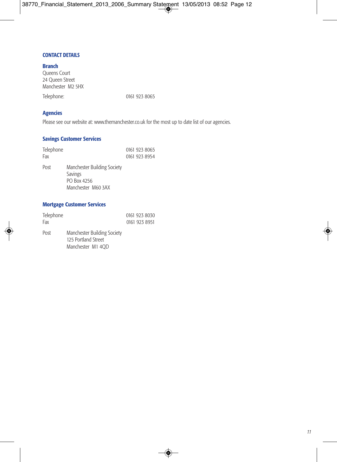# **CONTACT DETAILS**

**Branch** Queens Court 24 Queen Street Manchester M2 5HX Telephone: 0161 923 8065

**Agencies**

Please see our website at: www.themanchester.co.uk for the most up to date list of our agencies.

# **Savings Customer Services**

| Telephone<br>Fax |                                                                             | 0161 923 8065<br>0161 923 8954 |
|------------------|-----------------------------------------------------------------------------|--------------------------------|
| Post             | Manchester Building Society<br>Savings<br>PO Box 4256<br>Manchester M60 3AX |                                |

# **Mortgage Customer Services**

| Telephone<br>Fax |                                                                         | 0161 923 8030<br>0161 923 8951 |
|------------------|-------------------------------------------------------------------------|--------------------------------|
| Post             | Manchester Building Society<br>125 Portland Street<br>Manchester M1 4OD |                                |